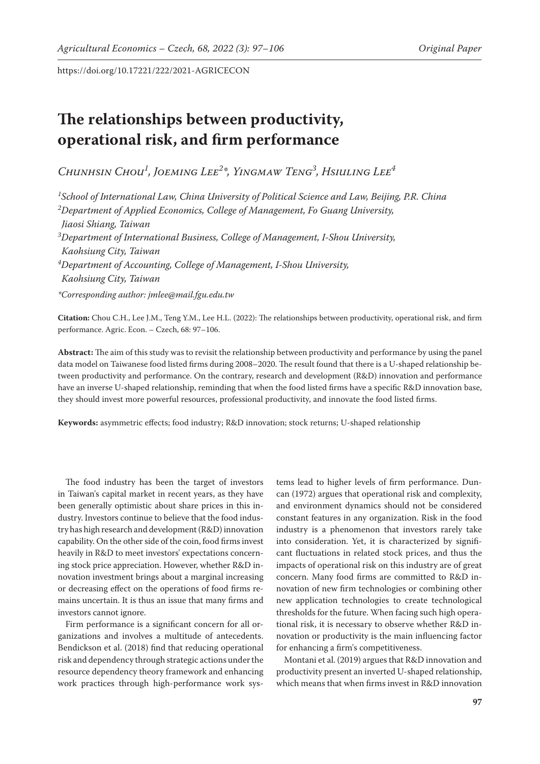# **The relationships between productivity, operational risk, and firm performance**

*Chunhsin Chou1 , Joeming Lee2 \*, Yingmaw Teng3 , Hsiuling Lee4*

*1 School of International Law, China University of Political Science and Law, Beijing, P.R. China 2 Department of Applied Economics, College of Management, Fo Guang University, Jiaosi Shiang, Taiwan 3 Department of International Business, College of Management, I-Shou University, Kaohsiung City, Taiwan 4 Department of Accounting, College of Management, I-Shou University, Kaohsiung City, Taiwan \*Corresponding author: jmlee@mail.fgu.edu.tw*

**Citation:** Chou C.H., Lee J.M., Teng Y.M., Lee H.L. (2022): The relationships between productivity, operational risk, and firm performance. Agric. Econ. – Czech, 68: 97–106.

**Abstract:** The aim of this study was to revisit the relationship between productivity and performance by using the panel data model on Taiwanese food listed firms during 2008–2020. The result found that there is a U-shaped relationship between productivity and performance. On the contrary, research and development (R&D) innovation and performance have an inverse U-shaped relationship, reminding that when the food listed firms have a specific R&D innovation base, they should invest more powerful resources, professional productivity, and innovate the food listed firms.

**Keywords:** asymmetric effects; food industry; R&D innovation; stock returns; U-shaped relationship

The food industry has been the target of investors in Taiwan's capital market in recent years, as they have been generally optimistic about share prices in this industry. Investors continue to believe that the food industry has high research and development (R&D) innovation capability. On the other side of the coin, food firms invest heavily in R&D to meet investors' expectations concerning stock price appreciation. However, whether R&D innovation investment brings about a marginal increasing or decreasing effect on the operations of food firms remains uncertain. It is thus an issue that many firms and investors cannot ignore.

Firm performance is a significant concern for all organizations and involves a multitude of antecedents. Bendickson et al. (2018) find that reducing operational risk and dependency through strategic actions under the resource dependency theory framework and enhancing work practices through high-performance work sys-

tems lead to higher levels of firm performance. Duncan (1972) argues that operational risk and complexity, and environment dynamics should not be considered constant features in any organization. Risk in the food industry is a phenomenon that investors rarely take into consideration. Yet, it is characterized by significant fluctuations in related stock prices, and thus the impacts of operational risk on this industry are of great concern. Many food firms are committed to R&D innovation of new firm technologies or combining other new application technologies to create technological thresholds for the future. When facing such high operational risk, it is necessary to observe whether R&D innovation or productivity is the main influencing factor for enhancing a firm's competitiveness.

Montani et al. (2019) argues that R&D innovation and productivity present an inverted U-shaped relationship, which means that when firms invest in R&D innovation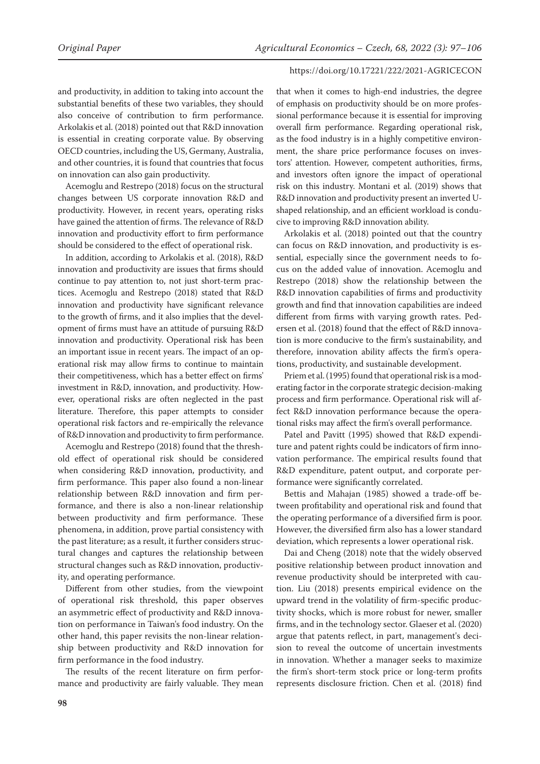and productivity, in addition to taking into account the substantial benefits of these two variables, they should also conceive of contribution to firm performance. Arkolakis et al. (2018) pointed out that R&D innovation is essential in creating corporate value. By observing OECD countries, including the US, Germany, Australia, and other countries, it is found that countries that focus on innovation can also gain productivity.

Acemoglu and Restrepo (2018) focus on the structural changes between US corporate innovation R&D and productivity. However, in recent years, operating risks have gained the attention of firms. The relevance of R&D innovation and productivity effort to firm performance should be considered to the effect of operational risk.

In addition, according to Arkolakis et al. (2018), R&D innovation and productivity are issues that firms should continue to pay attention to, not just short-term practices. Acemoglu and Restrepo (2018) stated that R&D innovation and productivity have significant relevance to the growth of firms, and it also implies that the development of firms must have an attitude of pursuing R&D innovation and productivity. Operational risk has been an important issue in recent years. The impact of an operational risk may allow firms to continue to maintain their competitiveness, which has a better effect on firms' investment in R&D, innovation, and productivity. However, operational risks are often neglected in the past literature. Therefore, this paper attempts to consider operational risk factors and re-empirically the relevance of R&D innovation and productivity to firm performance.

Acemoglu and Restrepo (2018) found that the threshold effect of operational risk should be considered when considering R&D innovation, productivity, and firm performance. This paper also found a non-linear relationship between R&D innovation and firm performance, and there is also a non-linear relationship between productivity and firm performance. These phenomena, in addition, prove partial consistency with the past literature; as a result, it further considers structural changes and captures the relationship between structural changes such as R&D innovation, productivity, and operating performance.

Different from other studies, from the viewpoint of operational risk threshold, this paper observes an asymmetric effect of productivity and R&D innovation on performance in Taiwan's food industry. On the other hand, this paper revisits the non-linear relationship between productivity and R&D innovation for firm performance in the food industry.

The results of the recent literature on firm performance and productivity are fairly valuable. They mean

that when it comes to high-end industries, the degree of emphasis on productivity should be on more professional performance because it is essential for improving overall firm performance. Regarding operational risk, as the food industry is in a highly competitive environment, the share price performance focuses on investors' attention. However, competent authorities, firms, and investors often ignore the impact of operational risk on this industry. Montani et al. (2019) shows that R&D innovation and productivity present an inverted Ushaped relationship, and an efficient workload is conducive to improving R&D innovation ability.

Arkolakis et al. (2018) pointed out that the country can focus on R&D innovation, and productivity is essential, especially since the government needs to focus on the added value of innovation. Acemoglu and Restrepo (2018) show the relationship between the R&D innovation capabilities of firms and productivity growth and find that innovation capabilities are indeed different from firms with varying growth rates. Pedersen et al. (2018) found that the effect of R&D innovation is more conducive to the firm's sustainability, and therefore, innovation ability affects the firm's operations, productivity, and sustainable development.

Priem et al. (1995) found that operational risk is a moderating factor in the corporate strategic decision-making process and firm performance. Operational risk will affect R&D innovation performance because the operational risks may affect the firm's overall performance.

Patel and Pavitt (1995) showed that R&D expenditure and patent rights could be indicators of firm innovation performance. The empirical results found that R&D expenditure, patent output, and corporate performance were significantly correlated.

Bettis and Mahajan (1985) showed a trade-off between profitability and operational risk and found that the operating performance of a diversified firm is poor. However, the diversified firm also has a lower standard deviation, which represents a lower operational risk.

Dai and Cheng (2018) note that the widely observed positive relationship between product innovation and revenue productivity should be interpreted with caution. Liu (2018) presents empirical evidence on the upward trend in the volatility of firm-specific productivity shocks, which is more robust for newer, smaller firms, and in the technology sector. Glaeser et al. (2020) argue that patents reflect, in part, management's decision to reveal the outcome of uncertain investments in innovation. Whether a manager seeks to maximize the firm's short-term stock price or long-term profits represents disclosure friction. Chen et al. (2018) find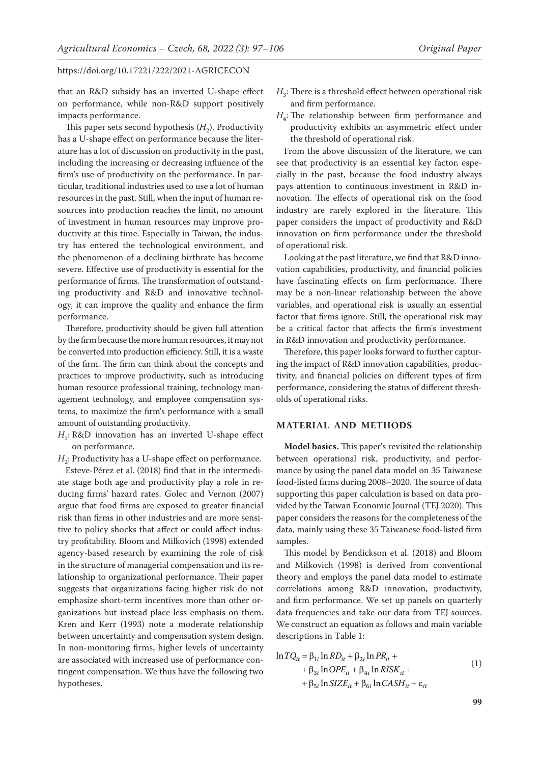that an R&D subsidy has an inverted U-shape effect on performance, while non-R&D support positively impacts performance.

This paper sets second hypothesis  $(H_2)$ . Productivity has a U-shape effect on performance because the literature has a lot of discussion on productivity in the past, including the increasing or decreasing influence of the firm's use of productivity on the performance. In particular, traditional industries used to use a lot of human resources in the past. Still, when the input of human resources into production reaches the limit, no amount of investment in human resources may improve productivity at this time. Especially in Taiwan, the industry has entered the technological environment, and the phenomenon of a declining birthrate has become severe. Effective use of productivity is essential for the performance of firms. The transformation of outstanding productivity and R&D and innovative technology, it can improve the quality and enhance the firm performance.

Therefore, productivity should be given full attention by the firm because the more human resources, it may not be converted into production efficiency. Still, it is a waste of the firm. The firm can think about the concepts and practices to improve productivity, such as introducing human resource professional training, technology management technology, and employee compensation systems, to maximize the firm's performance with a small amount of outstanding productivity.

*H*<sub>1</sub>: R&D innovation has an inverted U-shape effect on performance.

 $H_2$ : Productivity has a U-shape effect on performance.

Esteve-Pérez et al. (2018) find that in the intermediate stage both age and productivity play a role in reducing firms' hazard rates. Golec and Vernon (2007) argue that food firms are exposed to greater financial risk than firms in other industries and are more sensitive to policy shocks that affect or could affect industry profitability. Bloom and Milkovich (1998) extended agency-based research by examining the role of risk in the structure of managerial compensation and its relationship to organizational performance. Their paper suggests that organizations facing higher risk do not emphasize short-term incentives more than other organizations but instead place less emphasis on them. Kren and Kerr (1993) note a moderate relationship between uncertainty and compensation system design. In non-monitoring firms, higher levels of uncertainty are associated with increased use of performance contingent compensation. We thus have the following two hypotheses.

- $H_3$ : There is a threshold effect between operational risk and firm performance.
- $H_a$ : The relationship between firm performance and productivity exhibits an asymmetric effect under the threshold of operational risk.

From the above discussion of the literature, we can see that productivity is an essential key factor, especially in the past, because the food industry always pays attention to continuous investment in R&D innovation. The effects of operational risk on the food industry are rarely explored in the literature. This paper considers the impact of productivity and R&D innovation on firm performance under the threshold of operational risk.

Looking at the past literature, we find that R&D innovation capabilities, productivity, and financial policies have fascinating effects on firm performance. There may be a non-linear relationship between the above variables, and operational risk is usually an essential factor that firms ignore. Still, the operational risk may be a critical factor that affects the firm's investment in R&D innovation and productivity performance.

Therefore, this paper looks forward to further capturing the impact of R&D innovation capabilities, productivity, and financial policies on different types of firm performance, considering the status of different thresholds of operational risks.

## **MATERIAL AND METHODS**

**Model basics.** This paper's revisited the relationship between operational risk, productivity, and performance by using the panel data model on 35 Taiwanese food-listed firms during 2008–2020. The source of data supporting this paper calculation is based on data provided by the Taiwan Economic Journal (TEJ 2020). This paper considers the reasons for the completeness of the data, mainly using these 35 Taiwanese food-listed firm samples.

This model by Bendickson et al. (2018) and Bloom and Milkovich (1998) is derived from conventional theory and employs the panel data model to estimate correlations among R&D innovation, productivity, and firm performance. We set up panels on quarterly data frequencies and take our data from TEJ sources. We construct an equation as follows and main variable descriptions in Table 1:

$$
\ln TQ_{it} = \beta_{1i} \ln RD_{it} + \beta_{2i} \ln PR_{it} +
$$
  
+ 
$$
\beta_{3i} \ln OPE_{it} + \beta_{4i} \ln RISK_{it} +
$$
  
+ 
$$
\beta_{5i} \ln SIZE_{it} + \beta_{6i} \ln CASH_{it} + \varepsilon_{it}
$$
 (1)

**99**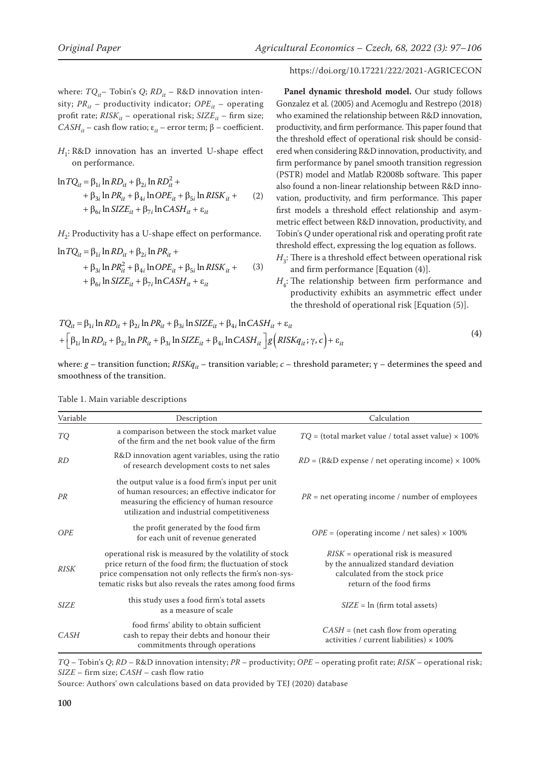where: *TQ*<sub>it</sub>– Tobin's *Q*; *RD*<sub>it</sub> – R&D innovation intensity;  $PR_{it}$  – productivity indicator;  $OPE_{it}$  – operating profit rate;  $RISK_{it}$  – operational risk;  $SIZE_{it}$  – firm size; *CASH<sub>it</sub>* – cash flow ratio;  $ε_{it}$  – error term;  $β$  – coefficient.

# *H*<sub>1</sub>: R&D innovation has an inverted U-shape effect on performance.

$$
\ln TQ_{it} = \beta_{1i} \ln RD_{it} + \beta_{2i} \ln RD_{it}^2 +
$$
  
+  $\beta_{3i} \ln PR_{it} + \beta_{4i} \ln OPE_{it} + \beta_{5i} \ln RISK_{it} +$   
+  $\beta_{6i} \ln SIZE_{it} + \beta_{7i} \ln CASH_{it} + \varepsilon_{it}$  (2)

 $H_2$ : Productivity has a U-shape effect on performance.

$$
\ln TQ_{it} = \beta_{1i} \ln RD_{it} + \beta_{2i} \ln PR_{it} +
$$
  
+  $\beta_{3i} \ln PR_{it}^2 + \beta_{4i} \ln OPE_{it} + \beta_{5i} \ln RISK_{it} +$   
+  $\beta_{6i} \ln SIZE_{it} + \beta_{7i} \ln CASH_{it} + \varepsilon_{it}$  (3)

### https://doi.org/10.17221/222/2021-AGRICECON

Panel dynamic threshold model. Our study follows Gonzalez et al. (2005) and Acemoglu and Restrepo (2018) who examined the relationship between R&D innovation, productivity, and firm performance. This paper found that the threshold effect of operational risk should be considered when considering R&D innovation, productivity, and firm performance by panel smooth transition regression (PSTR) model and Matlab R2008b software. This paper also found a non-linear relationship between R&D innovation, productivity, and firm performance. This paper first models a threshold effect relationship and asymmetric effect between R&D innovation, productivity, and Tobin's *Q* under operational risk and operating profit rate threshold effect, expressing the log equation as follows.

- $H_3$ : There is a threshold effect between operational risk and firm performance [Equation (4)].
- $H_4$ : The relationship between firm performance and productivity exhibits an asymmetric effect under the threshold of operational risk [Equation (5)].

$$
TQ_{it} = \beta_{1i} \ln RD_{it} + \beta_{2i} \ln PR_{it} + \beta_{3i} \ln SIZE_{it} + \beta_{4i} \ln CASH_{it} + \varepsilon_{it}
$$
  
+ 
$$
\left[ \beta_{1i} \ln RD_{it} + \beta_{2i} \ln PR_{it} + \beta_{3i} \ln SIZE_{it} + \beta_{4i} \ln CASH_{it} \right] g \left( RISKq_{it}; \gamma, c \right) + \varepsilon_{it}
$$
 (4)

where: *g* – transition function; *RISKq<sub>it</sub>* – transition variable; *c* – threshold parameter; γ – determines the speed and smoothness of the transition.

| Variable    | Description                                                                                                                                                                                                                                 | Calculation                                                                                                                                  |
|-------------|---------------------------------------------------------------------------------------------------------------------------------------------------------------------------------------------------------------------------------------------|----------------------------------------------------------------------------------------------------------------------------------------------|
| TQ          | a comparison between the stock market value<br>of the firm and the net book value of the firm                                                                                                                                               | $TO =$ (total market value / total asset value) $\times$ 100%                                                                                |
| RD          | R&D innovation agent variables, using the ratio<br>of research development costs to net sales                                                                                                                                               | $RD = (R&D)$ expense / net operating income) $\times$ 100%                                                                                   |
| PR          | the output value is a food firm's input per unit<br>of human resources; an effective indicator for<br>measuring the efficiency of human resource<br>utilization and industrial competitiveness                                              | $PR =$ net operating income / number of employees                                                                                            |
| <b>OPE</b>  | the profit generated by the food firm<br>for each unit of revenue generated                                                                                                                                                                 | $OPE = (operating income / net sales) \times 100\%$                                                                                          |
| <b>RISK</b> | operational risk is measured by the volatility of stock<br>price return of the food firm; the fluctuation of stock<br>price compensation not only reflects the firm's non-sys-<br>tematic risks but also reveals the rates among food firms | $RISK =$ operational risk is measured<br>by the annualized standard deviation<br>calculated from the stock price<br>return of the food firms |
| <b>SIZE</b> | this study uses a food firm's total assets<br>as a measure of scale                                                                                                                                                                         | $SIZE = ln (firm total assets)$                                                                                                              |
| CASH        | food firms' ability to obtain sufficient<br>cash to repay their debts and honour their<br>commitments through operations                                                                                                                    | $CASH = (net cash flow from operating)$<br>activities / current liabilities) $\times$ 100%                                                   |

Table 1. Main variable descriptions

*TQ* – Tobin's *Q*; *RD* – R&D innovation intensity; *PR* – productivity; *OPE* – operating profit rate; *RISK* – operational risk; *SIZE* – firm size; *CASH* – cash flow ratio

Source: Authors' own calculations based on data provided by TEJ (2020) database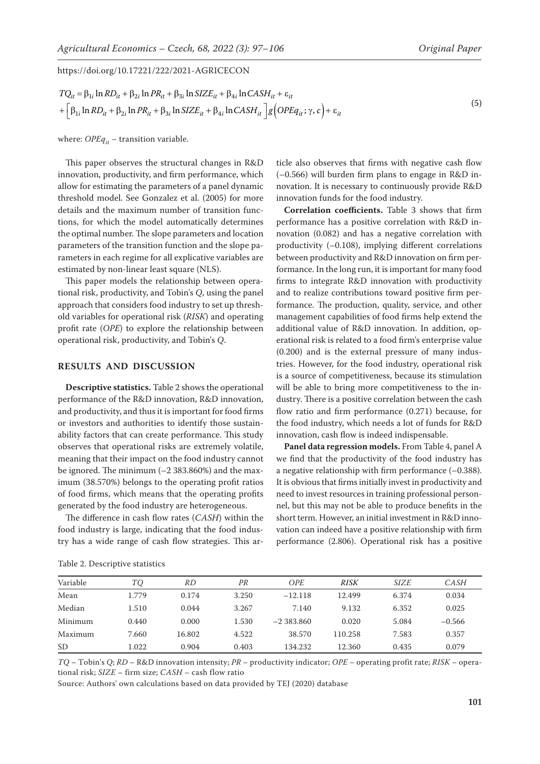$$
TQ_{it} = \beta_{1i} \ln RD_{it} + \beta_{2i} \ln PR_{it} + \beta_{3i} \ln SIZE_{it} + \beta_{4i} \ln CASH_{it} + \varepsilon_{it}
$$
  
+ 
$$
\left[\beta_{1i} \ln RD_{it} + \beta_{2i} \ln PR_{it} + \beta_{3i} \ln SIZE_{it} + \beta_{4i} \ln CASH_{it} \right] g \left(OPEq_{it}; \gamma, c\right) + \varepsilon_{it}
$$

where:  $OPEq_{it}$  – transition variable.

This paper observes the structural changes in R&D innovation, productivity, and firm performance, which allow for estimating the parameters of a panel dynamic threshold model. See Gonzalez et al. (2005) for more details and the maximum number of transition functions, for which the model automatically determines the optimal number. The slope parameters and location parameters of the transition function and the slope parameters in each regime for all explicative variables are estimated by non-linear least square (NLS).

This paper models the relationship between operational risk, productivity, and Tobin's *Q*, using the panel approach that considers food industry to set up threshold variables for operational risk (*RISK*) and operating profit rate (*OPE*) to explore the relationship between operational risk, productivity, and Tobin's *Q*.

#### **RESULTS AND DISCUSSION**

**Descriptive statistics.** Table 2 shows the operational performance of the R&D innovation, R&D innovation, and productivity, and thus it is important for food firms or investors and authorities to identify those sustainability factors that can create performance. This study observes that operational risks are extremely volatile, meaning that their impact on the food industry cannot be ignored. The minimum (–2 383.860%) and the maximum (38.570%) belongs to the operating profit ratios of food firms, which means that the operating profits generated by the food industry are heterogeneous.

The difference in cash flow rates (*CASH*) within the food industry is large, indicating that the food industry has a wide range of cash flow strategies. This article also observes that firms with negative cash flow (–0.566) will burden firm plans to engage in R&D innovation. It is necessary to continuously provide R&D innovation funds for the food industry.

**Correlation coefficients.** Table 3 shows that firm performance has a positive correlation with R&D innovation (0.082) and has a negative correlation with productivity (–0.108), implying different correlations between productivity and R&D innovation on firm performance. In the long run, it is important for many food firms to integrate R&D innovation with productivity and to realize contributions toward positive firm performance. The production, quality, service, and other management capabilities of food firms help extend the additional value of R&D innovation. In addition, operational risk is related to a food firm's enterprise value (0.200) and is the external pressure of many industries. However, for the food industry, operational risk is a source of competitiveness, because its stimulation will be able to bring more competitiveness to the industry. There is a positive correlation between the cash flow ratio and firm performance (0.271) because, for the food industry, which needs a lot of funds for R&D innovation, cash flow is indeed indispensable.

**Panel data regression models.** From Table 4, panel A we find that the productivity of the food industry has a negative relationship with firm performance (–0.388). It is obvious that firms initially invest in productivity and need to invest resources in training professional personnel, but this may not be able to produce benefits in the short term. However, an initial investment in R&D innovation can indeed have a positive relationship with firm performance (2.806). Operational risk has a positive

|  | Table 2. Descriptive statistics |  |
|--|---------------------------------|--|
|--|---------------------------------|--|

| $TQ$ – Tobin's Q; RD – R&D innovation intensity; PR – productivity indicator; OPE – operating profit rate; RISK – opera- |  |
|--------------------------------------------------------------------------------------------------------------------------|--|
| tional risk; SIZE – firm size; CASH – cash flow ratio                                                                    |  |

Variable *TQ RD PR OPE RISK SIZE CASH* Mean 1.779 0.174 3.250 –12.118 12.499 6.374 0.034 Median 1.510 0.044 3.267 7.140 9.132 6.352 0.025 Minimum 0.440 0.000 1.530 –2 383.860 0.020 5.084 –0.566 Maximum 7.660 16.802 4.522 38.570 110.258 7.583 0.357 SD 1.022 0.904 0.403 134.232 12.360 0.435 0.079

Source: Authors' own calculations based on data provided by TEJ (2020) database

**101**

(5)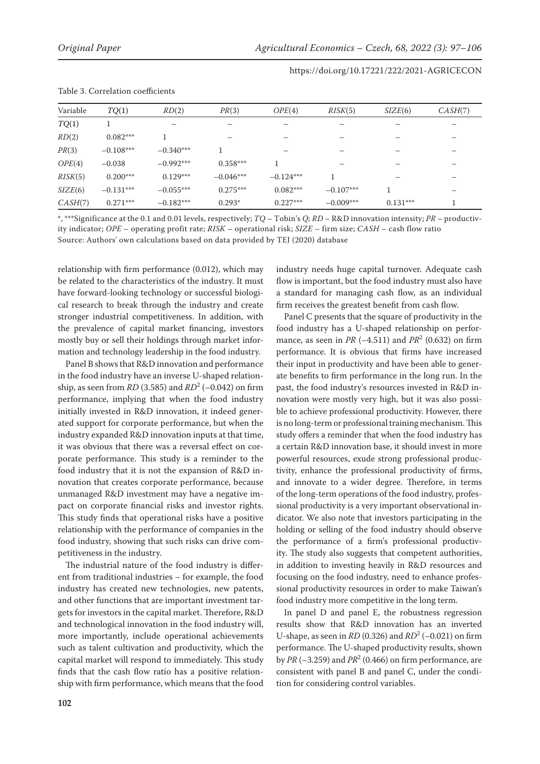| Table 5. Correlation coefficients |             |             |             |             |             |            |         |
|-----------------------------------|-------------|-------------|-------------|-------------|-------------|------------|---------|
| Variable                          | TQ(1)       | RD(2)       | PR(3)       | OPE(4)      | RISK(5)     | SIZE(6)    | CASH(7) |
| TQ(1)                             |             |             |             |             |             |            |         |
| RD(2)                             | $0.082***$  |             |             |             |             |            |         |
| PR(3)                             | $-0.108***$ | $-0.340***$ |             |             |             |            |         |
| OPE(4)                            | $-0.038$    | $-0.992***$ | $0.358***$  |             |             |            |         |
| RISK(5)                           | $0.200***$  | $0.129***$  | $-0.046***$ | $-0.124***$ |             |            |         |
| SIZE(6)                           | $-0.131***$ | $-0.055***$ | $0.275***$  | $0.082***$  | $-0.107***$ |            |         |
| CASH(7)                           | $0.271***$  | $-0.182***$ | $0.293*$    | $0.227***$  | $-0.009***$ | $0.131***$ |         |

# Table 3. Correlation coefficients

\*, \*\*\*Significance at the 0.1 and 0.01 levels, respectively; *TQ* – Tobin's *Q*; *RD* – R&D innovation intensity; *PR* – productivity indicator; *OPE* – operating profit rate; *RISK* – operational risk; *SIZE* – firm size; *CASH* – cash flow ratio Source: Authors' own calculations based on data provided by TEJ (2020) database

relationship with firm performance (0.012), which may be related to the characteristics of the industry. It must have forward-looking technology or successful biological research to break through the industry and create stronger industrial competitiveness. In addition, with the prevalence of capital market financing, investors mostly buy or sell their holdings through market information and technology leadership in the food industry.

Panel B shows that R&D innovation and performance in the food industry have an inverse U-shaped relationship, as seen from *RD* (3.585) and *RD*<sup>2</sup> (–0.042) on firm performance, implying that when the food industry initially invested in R&D innovation, it indeed generated support for corporate performance, but when the industry expanded R&D innovation inputs at that time, it was obvious that there was a reversal effect on corporate performance. This study is a reminder to the food industry that it is not the expansion of R&D innovation that creates corporate performance, because unmanaged R&D investment may have a negative impact on corporate financial risks and investor rights. This study finds that operational risks have a positive relationship with the performance of companies in the food industry, showing that such risks can drive competitiveness in the industry.

The industrial nature of the food industry is different from traditional industries – for example, the food industry has created new technologies, new patents, and other functions that are important investment targets for investors in the capital market. Therefore, R&D and technological innovation in the food industry will, more importantly, include operational achievements such as talent cultivation and productivity, which the capital market will respond to immediately. This study finds that the cash flow ratio has a positive relationship with firm performance, which means that the food industry needs huge capital turnover. Adequate cash flow is important, but the food industry must also have a standard for managing cash flow, as an individual firm receives the greatest benefit from cash flow.

Panel C presents that the square of productivity in the food industry has a U-shaped relationship on performance, as seen in *PR* (–4.511) and *PR*<sup>2</sup> (0.632) on firm performance. It is obvious that firms have increased their input in productivity and have been able to generate benefits to firm performance in the long run. In the past, the food industry's resources invested in R&D innovation were mostly very high, but it was also possible to achieve professional productivity. However, there is no long-term or professional training mechanism. This study offers a reminder that when the food industry has a certain R&D innovation base, it should invest in more powerful resources, exude strong professional productivity, enhance the professional productivity of firms, and innovate to a wider degree. Therefore, in terms of the long-term operations of the food industry, professional productivity is a very important observational indicator. We also note that investors participating in the holding or selling of the food industry should observe the performance of a firm's professional productivity. The study also suggests that competent authorities, in addition to investing heavily in R&D resources and focusing on the food industry, need to enhance professional productivity resources in order to make Taiwan's food industry more competitive in the long term.

In panel D and panel E, the robustness regression results show that R&D innovation has an inverted U-shape, as seen in *RD* (0.326) and *RD*<sup>2</sup> (–0.021) on firm performance. The U-shaped productivity results, shown by *PR* (–3.259) and *PR*<sup>2</sup> (0.466) on firm performance, are consistent with panel B and panel C, under the condition for considering control variables.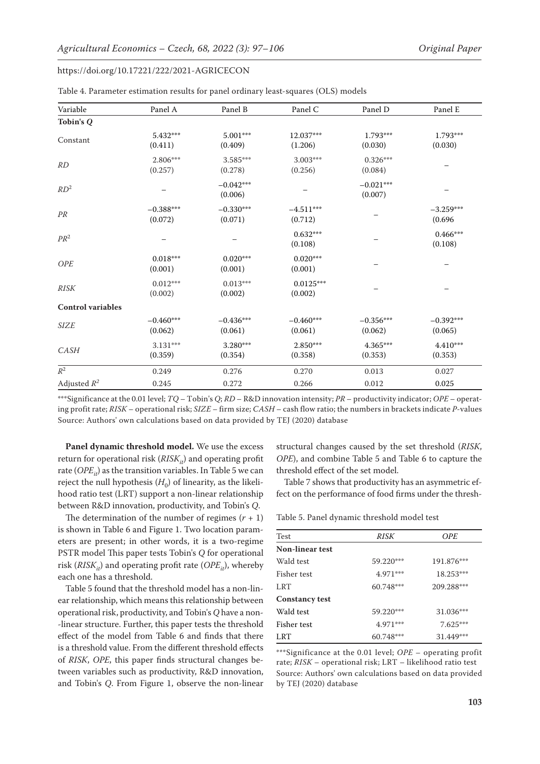| Variable                 | Panel A                | Panel B                | Panel C                | Panel D                | Panel E                |
|--------------------------|------------------------|------------------------|------------------------|------------------------|------------------------|
| Tobin's Q                |                        |                        |                        |                        |                        |
| Constant                 | 5.432***<br>(0.411)    | 5.001***<br>(0.409)    | 12.037***<br>(1.206)   | $1.793***$<br>(0.030)  | 1.793***<br>(0.030)    |
| RD                       | 2.806***<br>(0.257)    | $3.585***$<br>(0.278)  | 3.003***<br>(0.256)    | $0.326***$<br>(0.084)  |                        |
| RD <sup>2</sup>          |                        | $-0.042***$<br>(0.006) |                        | $-0.021***$<br>(0.007) |                        |
| PR                       | $-0.388***$<br>(0.072) | $-0.330***$<br>(0.071) | $-4.511***$<br>(0.712) |                        | $-3.259***$<br>(0.696) |
| $PR^2$                   |                        |                        | $0.632***$<br>(0.108)  |                        | $0.466***$<br>(0.108)  |
| <b>OPE</b>               | $0.018***$<br>(0.001)  | $0.020***$<br>(0.001)  | $0.020***$<br>(0.001)  |                        |                        |
| <b>RISK</b>              | $0.012***$<br>(0.002)  | $0.013***$<br>(0.002)  | $0.0125***$<br>(0.002) |                        |                        |
| <b>Control variables</b> |                        |                        |                        |                        |                        |
| <b>SIZE</b>              | $-0.460***$<br>(0.062) | $-0.436***$<br>(0.061) | $-0.460***$<br>(0.061) | $-0.356***$<br>(0.062) | $-0.392***$<br>(0.065) |
| CASH                     | $3.131***$<br>(0.359)  | 3.280***<br>(0.354)    | $2.850***$<br>(0.358)  | $4.365***$<br>(0.353)  | $4.410***$<br>(0.353)  |
| $\mathbb{R}^2$           | 0.249                  | 0.276                  | 0.270                  | 0.013                  | 0.027                  |
| Adjusted $R^2$           | 0.245                  | 0.272                  | 0.266                  | 0.012                  | 0.025                  |

| Table 4. Parameter estimation results for panel ordinary least-squares (OLS) models |  |  |  |
|-------------------------------------------------------------------------------------|--|--|--|
|-------------------------------------------------------------------------------------|--|--|--|

\*\*\*Significance at the 0.01 level; *TQ* – Tobin's *Q*; *RD* – R&D innovation intensity; *PR* – productivity indicator; *OPE* – operating profit rate; *RISK* – operational risk; *SIZE –* firm size; *CASH* – cash flow ratio; the numbers in brackets indicate *P*-values Source: Authors' own calculations based on data provided by TEJ (2020) database

**Panel dynamic threshold model.** We use the excess return for operational risk  $(RISK_{it})$  and operating profit rate  $(OPE_{it})$  as the transition variables. In Table 5 we can reject the null hypothesis  $(H_0)$  of linearity, as the likelihood ratio test (LRT) support a non-linear relationship between R&D innovation, productivity, and Tobin's *Q*.

The determination of the number of regimes  $(r + 1)$ is shown in Table 6 and Figure 1. Two location parameters are present; in other words, it is a two-regime PSTR model This paper tests Tobin's *Q* for operational risk ( $RISK_{it}$ ) and operating profit rate ( $OPE_{it}$ ), whereby each one has a threshold.

Table 5 found that the threshold model has a non-linear relationship, which means this relationship between operational risk, productivity, and Tobin's *Q* have a non- -linear structure. Further, this paper tests the threshold effect of the model from Table 6 and finds that there is a threshold value. From the different threshold effects of *RISK*, *OPE*, this paper finds structural changes between variables such as productivity, R&D innovation, and Tobin's *Q*. From Figure 1, observe the non-linear

structural changes caused by the set threshold (*RISK*, *OPE*), and combine Table 5 and Table 6 to capture the threshold effect of the set model.

Table 7 shows that productivity has an asymmetric effect on the performance of food firms under the thresh-

Table 5. Panel dynamic threshold model test

| Test                   | <i>RISK</i> | <b>OPE</b> |  |
|------------------------|-------------|------------|--|
| <b>Non-linear test</b> |             |            |  |
| Wald test              | 59.220***   | 191.876*** |  |
| Fisher test            | $4.971***$  | 18.253***  |  |
| LRT                    | 60.748***   | 209.288*** |  |
| <b>Constancy test</b>  |             |            |  |
| Wald test              | 59.220***   | 31.036***  |  |
| Fisher test            | $4.971***$  | $7.625***$ |  |
| LRT                    | 60.748***   | 31.449***  |  |

\*\*\*Significance at the 0.01 level; *OPE* – operating profit rate; *RISK* – operational risk; LRT – likelihood ratio test Source: Authors' own calculations based on data provided by TEJ (2020) database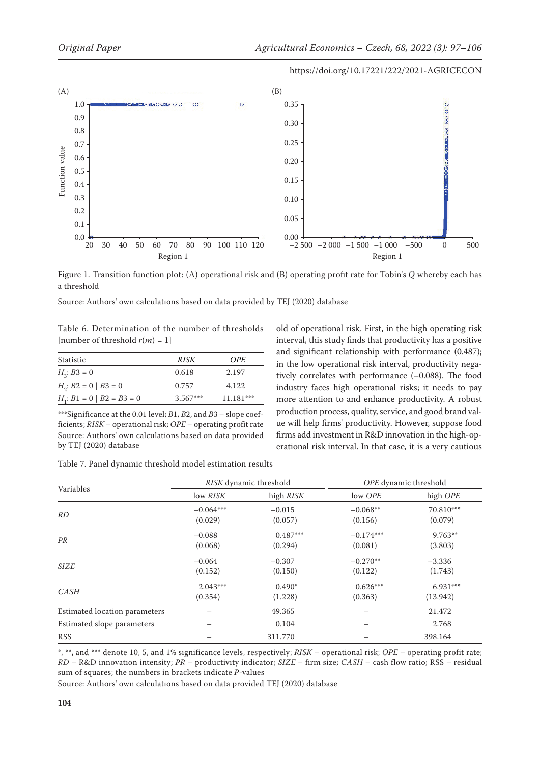

Figure 1. Transition function plot: (A) operational risk and (B) operating profit rate for Tobin's *Q* whereby each has a threshold

Source: Authors' own calculations based on data provided by TEJ (2020) database

Table 6. Determination of the number of thresholds [number of threshold  $r(m) = 1$ ]

| Statistic                      | RISK       | OPE.        |
|--------------------------------|------------|-------------|
| $H_{3}$ : B3 = 0               | 0.618      | 2.197       |
| $H_2$ : $B2 = 0   B3 = 0$      | 0.757      | 4.122       |
| $H_i$ : $B1 = 0   B2 = B3 = 0$ | $3.567***$ | $11.181***$ |

\*\*\*Significance at the 0.01 level; *B*1, *B*2, and *B*3 – slope coefficients; *RISK* – operational risk; *OPE* – operating profit rate Source: Authors' own calculations based on data provided by TEJ (2020) database

old of operational risk. First, in the high operating risk interval, this study finds that productivity has a positive and significant relationship with performance (0.487); in the low operational risk interval, productivity negatively correlates with performance (–0.088). The food industry faces high operational risks; it needs to pay more attention to and enhance productivity. A robust production process, quality, service, and good brand value will help firms' productivity. However, suppose food firms add investment in R&D innovation in the high-operational risk interval. In that case, it is a very cautious

| Table 7. Panel dynamic threshold model estimation results |  |  |  |  |
|-----------------------------------------------------------|--|--|--|--|
|-----------------------------------------------------------|--|--|--|--|

|                               |                        | RISK dynamic threshold |                        | OPE dynamic threshold  |
|-------------------------------|------------------------|------------------------|------------------------|------------------------|
| Variables                     | low RISK               | high RISK              | low OPE                | high OPE               |
| RD                            | $-0.064***$<br>(0.029) | $-0.015$<br>(0.057)    | $-0.068**$<br>(0.156)  | 70.810***<br>(0.079)   |
| PR                            | $-0.088$<br>(0.068)    | $0.487***$<br>(0.294)  | $-0.174***$<br>(0.081) | 9.763**<br>(3.803)     |
| <b>SIZE</b>                   | $-0.064$<br>(0.152)    | $-0.307$<br>(0.150)    | $-0.270**$<br>(0.122)  | $-3.336$<br>(1.743)    |
| <b>CASH</b>                   | $2.043***$<br>(0.354)  | $0.490*$<br>(1.228)    | $0.626***$<br>(0.363)  | $6.931***$<br>(13.942) |
| Estimated location parameters |                        | 49.365                 |                        | 21.472                 |
| Estimated slope parameters    |                        | 0.104                  |                        | 2.768                  |
| <b>RSS</b>                    |                        | 311.770                |                        | 398.164                |

\*, \*\*, and \*\*\* denote 10, 5, and 1% significance levels, respectively; *RISK* – operational risk; *OPE* – operating profit rate; *RD* – R&D innovation intensity; *PR* – productivity indicator; *SIZE –* firm size; *CASH* – cash flow ratio; RSS – residual sum of squares; the numbers in brackets indicate *P*-values

Source: Authors' own calculations based on data provided TEJ (2020) database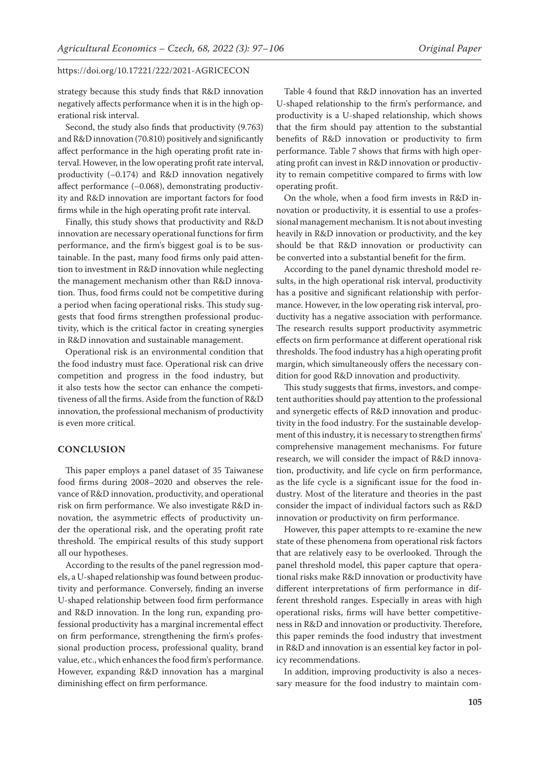strategy because this study finds that R&D innovation negatively affects performance when it is in the high operational risk interval.

Second, the study also finds that productivity (9.763) and R&D innovation (70.810) positively and significantly affect performance in the high operating profit rate interval. However, in the low operating profit rate interval, productivity (–0.174) and R&D innovation negatively affect performance (–0.068), demonstrating productivity and R&D innovation are important factors for food firms while in the high operating profit rate interval.

Finally, this study shows that productivity and R&D innovation are necessary operational functions for firm performance, and the firm's biggest goal is to be sustainable. In the past, many food firms only paid attention to investment in R&D innovation while neglecting the management mechanism other than R&D innovation. Thus, food firms could not be competitive during a period when facing operational risks. This study suggests that food firms strengthen professional productivity, which is the critical factor in creating synergies in R&D innovation and sustainable management.

Operational risk is an environmental condition that the food industry must face. Operational risk can drive competition and progress in the food industry, but it also tests how the sector can enhance the competitiveness of all the firms. Aside from the function of R&D innovation, the professional mechanism of productivity is even more critical.

## **CONCLUSION**

This paper employs a panel dataset of 35 Taiwanese food firms during 2008–2020 and observes the relevance of R&D innovation, productivity, and operational risk on firm performance. We also investigate R&D innovation, the asymmetric effects of productivity under the operational risk, and the operating profit rate threshold. The empirical results of this study support all our hypotheses.

According to the results of the panel regression models, a U-shaped relationship was found between productivity and performance. Conversely, finding an inverse U-shaped relationship between food firm performance and R&D innovation. In the long run, expanding professional productivity has a marginal incremental effect on firm performance, strengthening the firm's professional production process, professional quality, brand value, etc., which enhances the food firm's performance. However, expanding R&D innovation has a marginal diminishing effect on firm performance.

Table 4 found that R&D innovation has an inverted U-shaped relationship to the firm's performance, and productivity is a U-shaped relationship, which shows that the firm should pay attention to the substantial benefits of R&D innovation or productivity to firm performance. Table 7 shows that firms with high operating profit can invest in R&D innovation or productivity to remain competitive compared to firms with low operating profit.

On the whole, when a food firm invests in R&D innovation or productivity, it is essential to use a professional management mechanism. It is not about investing heavily in R&D innovation or productivity, and the key should be that R&D innovation or productivity can be converted into a substantial benefit for the firm.

According to the panel dynamic threshold model results, in the high operational risk interval, productivity has a positive and significant relationship with performance. However, in the low operating risk interval, productivity has a negative association with performance. The research results support productivity asymmetric effects on firm performance at different operational risk thresholds. The food industry has a high operating profit margin, which simultaneously offers the necessary condition for good R&D innovation and productivity.

This study suggests that firms, investors, and competent authorities should pay attention to the professional and synergetic effects of R&D innovation and productivity in the food industry. For the sustainable development of this industry, it is necessary to strengthen firms' comprehensive management mechanisms. For future research, we will consider the impact of R&D innovation, productivity, and life cycle on firm performance, as the life cycle is a significant issue for the food industry. Most of the literature and theories in the past consider the impact of individual factors such as R&D innovation or productivity on firm performance.

However, this paper attempts to re-examine the new state of these phenomena from operational risk factors that are relatively easy to be overlooked. Through the panel threshold model, this paper capture that operational risks make R&D innovation or productivity have different interpretations of firm performance in different threshold ranges. Especially in areas with high operational risks, firms will have better competitiveness in R&D and innovation or productivity. Therefore, this paper reminds the food industry that investment in R&D and innovation is an essential key factor in policy recommendations.

In addition, improving productivity is also a necessary measure for the food industry to maintain com